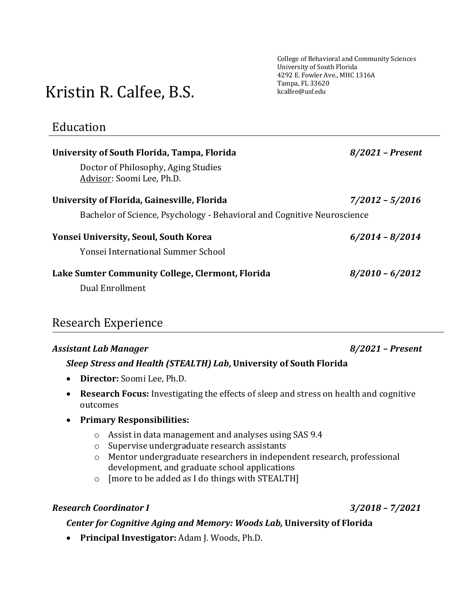College of Behavioral and Community Sciences University of South Florida 4292 E. Fowler Ave., MHC 1316A Tampa, FL 33620 kcalfee@usf.edu

# Kristin R. Calfee, B.S.

## Education

| University of South Florida, Tampa, Florida                             | $8/2021$ – Present |
|-------------------------------------------------------------------------|--------------------|
| Doctor of Philosophy, Aging Studies<br>Advisor: Soomi Lee, Ph.D.        |                    |
| University of Florida, Gainesville, Florida                             | 7/2012 - 5/2016    |
| Bachelor of Science, Psychology - Behavioral and Cognitive Neuroscience |                    |
| Yonsei University, Seoul, South Korea                                   | $6/2014 - 8/2014$  |
|                                                                         |                    |
| Yonsei International Summer School                                      |                    |
| Lake Sumter Community College, Clermont, Florida                        | $8/2010 - 6/2012$  |

## Research Experience

### *Assistant Lab Manager 8/2021 – Present*

### *Sleep Stress and Health (STEALTH) Lab***, University of South Florida**

- **Director:** Soomi Lee, Ph.D.
- **Research Focus:** Investigating the effects of sleep and stress on health and cognitive outcomes

### • **Primary Responsibilities:**

- o Assist in data management and analyses using SAS 9.4
- o Supervise undergraduate research assistants
- o Mentor undergraduate researchers in independent research, professional development, and graduate school applications
- o [more to be added as I do things with STEALTH]

### *Research Coordinator I 3/2018 – 7/2021*

### *Center for Cognitive Aging and Memory: Woods Lab,* **University of Florida**

• **Principal Investigator:** Adam J. Woods, Ph.D.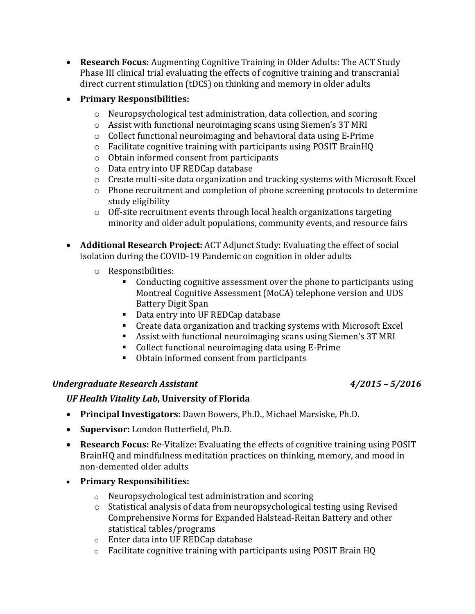• **Research Focus:** Augmenting Cognitive Training in Older Adults: The ACT Study Phase III clinical trial evaluating the effects of cognitive training and transcranial direct current stimulation (tDCS) on thinking and memory in older adults

### • **Primary Responsibilities:**

- o Neuropsychological test administration, data collection, and scoring
- o Assist with functional neuroimaging scans using Siemen's 3T MRI
- o Collect functional neuroimaging and behavioral data using E-Prime
- o Facilitate cognitive training with participants using POSIT BrainHQ
- o Obtain informed consent from participants
- o Data entry into UF REDCap database
- o Create multi-site data organization and tracking systems with Microsoft Excel
- o Phone recruitment and completion of phone screening protocols to determine study eligibility
- $\circ$  Off-site recruitment events through local health organizations targeting minority and older adult populations, community events, and resource fairs
- **Additional Research Project:** ACT Adjunct Study: Evaluating the effect of social isolation during the COVID-19 Pandemic on cognition in older adults
	- o Responsibilities:
		- Conducting cognitive assessment over the phone to participants using Montreal Cognitive Assessment (MoCA) telephone version and UDS Battery Digit Span
		- Data entry into UF REDCap database
		- Create data organization and tracking systems with Microsoft Excel
		- Assist with functional neuroimaging scans using Siemen's 3T MRI
		- Collect functional neuroimaging data using E-Prime
		- Obtain informed consent from participants

### *Undergraduate Research Assistant 4/2015 – 5/2016*

### *UF Health Vitality Lab***, University of Florida**

- **Principal Investigators:** Dawn Bowers, Ph.D., Michael Marsiske, Ph.D.
- **Supervisor:** London Butterfield, Ph.D.
- **Research Focus:** Re-Vitalize: Evaluating the effects of cognitive training using POSIT BrainHQ and mindfulness meditation practices on thinking, memory, and mood in non-demented older adults
- **Primary Responsibilities:**
	- o Neuropsychological test administration and scoring
	- $\circ$  Statistical analysis of data from neuropsychological testing using Revised Comprehensive Norms for Expanded Halstead-Reitan Battery and other statistical tables/programs
	- o Enter data into UF REDCap database
	- o Facilitate cognitive training with participants using POSIT Brain HQ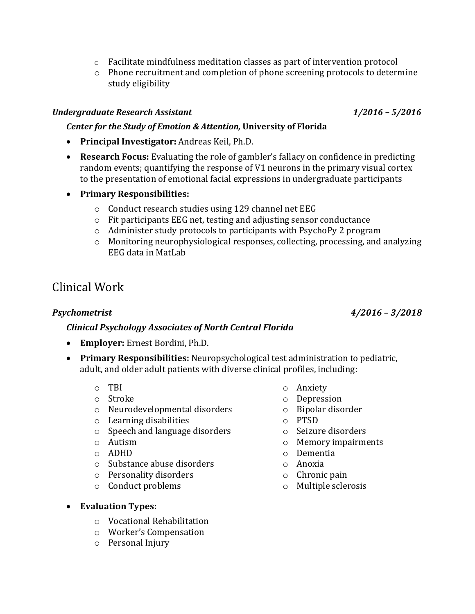- $\circ$  Facilitate mindfulness meditation classes as part of intervention protocol
- o Phone recruitment and completion of phone screening protocols to determine study eligibility

### *Undergraduate Research Assistant 1/2016 – 5/2016*

### *Center for the Study of Emotion & Attention,* **University of Florida**

- **Principal Investigator:** Andreas Keil, Ph.D.
- **Research Focus:** Evaluating the role of gambler's fallacy on confidence in predicting random events; quantifying the response of V1 neurons in the primary visual cortex to the presentation of emotional facial expressions in undergraduate participants
- **Primary Responsibilities:**
	- o Conduct research studies using 129 channel net EEG
	- o Fit participants EEG net, testing and adjusting sensor conductance
	- o Administer study protocols to participants with PsychoPy 2 program
	- o Monitoring neurophysiological responses, collecting, processing, and analyzing EEG data in MatLab

## Clinical Work

*Psychometrist 4/2016 – 3/2018*

### *Clinical Psychology Associates of North Central Florida*

- **Employer:** Ernest Bordini, Ph.D.
- **Primary Responsibilities:** Neuropsychological test administration to pediatric, adult, and older adult patients with diverse clinical profiles, including:
	- o TBI
	- o Stroke
	- o Neurodevelopmental disorders
	- o Learning disabilities
	- o Speech and language disorders
	- o Autism
	- o ADHD
	- o Substance abuse disorders
	- o Personality disorders
	- o Conduct problems
- o Anxiety
- o Depression
- o Bipolar disorder
- o PTSD
- o Seizure disorders
- o Memory impairments
- o Dementia
- o Anoxia
- o Chronic pain
- o Multiple sclerosis

- **Evaluation Types:** 
	- o Vocational Rehabilitation
	- o Worker's Compensation
	- o Personal Injury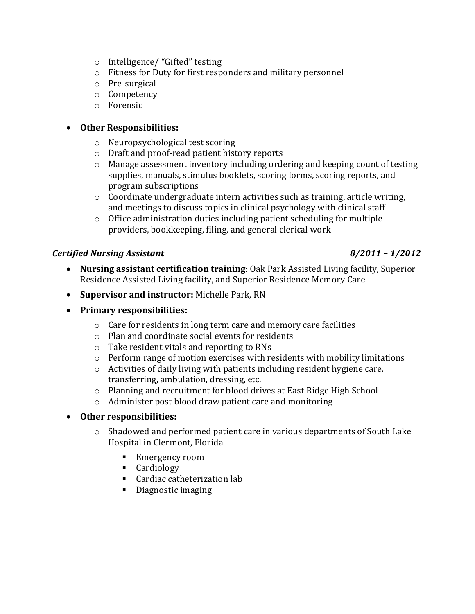- o Intelligence/ "Gifted" testing
- o Fitness for Duty for first responders and military personnel
- o Pre-surgical
- o Competency
- o Forensic

### • **Other Responsibilities:**

- o Neuropsychological test scoring
- o Draft and proof-read patient history reports
- o Manage assessment inventory including ordering and keeping count of testing supplies, manuals, stimulus booklets, scoring forms, scoring reports, and program subscriptions
- o Coordinate undergraduate intern activities such as training, article writing, and meetings to discuss topics in clinical psychology with clinical staff
- $\circ$  Office administration duties including patient scheduling for multiple providers, bookkeeping, filing, and general clerical work

### *Certified Nursing Assistant 8/2011 – 1/2012*

- **Nursing assistant certification training**: Oak Park Assisted Living facility, Superior Residence Assisted Living facility, and Superior Residence Memory Care
- **Supervisor and instructor:** Michelle Park, RN
- **Primary responsibilities:**
	- o Care for residents in long term care and memory care facilities
	- o Plan and coordinate social events for residents
	- o Take resident vitals and reporting to RNs
	- o Perform range of motion exercises with residents with mobility limitations
	- $\circ$  Activities of daily living with patients including resident hygiene care, transferring, ambulation, dressing, etc.
	- o Planning and recruitment for blood drives at East Ridge High School
	- o Administer post blood draw patient care and monitoring

### • **Other responsibilities:**

- $\circ$  Shadowed and performed patient care in various departments of South Lake Hospital in Clermont, Florida
	- Emergency room
	- **Cardiology**
	- Cardiac catheterization lab
	- Diagnostic imaging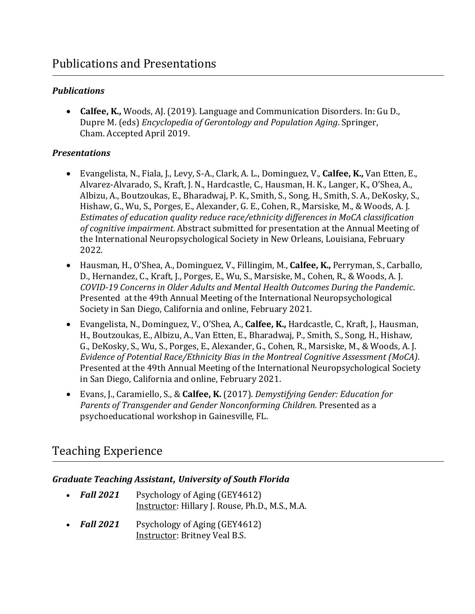### *Publications*

• **Calfee, K.,** Woods, AJ. (2019). Language and Communication Disorders. In: Gu D., Dupre M. (eds) *Encyclopedia of Gerontology and Population Aging*. Springer, Cham. Accepted April 2019.

### *Presentations*

- Evangelista, N., Fiala, J., Levy, S-A., Clark, A. L., Dominguez, V., **Calfee, K.,** Van Etten, E., Alvarez-Alvarado, S., Kraft, J. N., Hardcastle, C., Hausman, H. K., Langer, K., O'Shea, A., Albizu, A., Boutzoukas, E., Bharadwaj, P. K., Smith, S., Song, H., Smith, S. A., DeKosky, S., Hishaw, G., Wu, S., Porges, E., Alexander, G. E., Cohen, R., Marsiske, M., & Woods, A. J. *Estimates of education quality reduce race/ethnicity differences in MoCA classification of cognitive impairment*. Abstract submitted for presentation at the Annual Meeting of the International Neuropsychological Society in New Orleans, Louisiana, February 2022.
- Hausman, H., O'Shea, A., Dominguez, V., Fillingim, M., **Calfee, K.,** Perryman, S., Carballo, D., Hernandez, C., Kraft, J., Porges, E., Wu, S., Marsiske, M., Cohen, R., & Woods, A. J. *COVID-19 Concerns in Older Adults and Mental Health Outcomes During the Pandemic*. Presented at the 49th Annual Meeting of the International Neuropsychological Society in San Diego, California and online, February 2021.
- Evangelista, N., Dominguez, V., O'Shea, A., **Calfee, K.,** Hardcastle, C., Kraft, J., Hausman, H., Boutzoukas, E., Albizu, A., Van Etten, E., Bharadwaj, P., Smith, S., Song, H., Hishaw, G., DeKosky, S., Wu, S., Porges, E., Alexander, G., Cohen, R., Marsiske, M., & Woods, A. J. *Evidence of Potential Race/Ethnicity Bias in the Montreal Cognitive Assessment (MoCA)*. Presented at the 49th Annual Meeting of the International Neuropsychological Society in San Diego, California and online, February 2021.
- Evans, J., Caramiello, S., & **Calfee, K.** (2017). *Demystifying Gender: Education for Parents of Transgender and Gender Nonconforming Children.* Presented as a psychoeducational workshop in Gainesville, FL.

## Teaching Experience

### *Graduate Teaching Assistant*, *University of South Florida*

- **Fall 2021** Psychology of Aging (GEY4612) Instructor: Hillary J. Rouse, Ph.D., M.S., M.A.
- *Fall 2021* Psychology of Aging (GEY4612) Instructor: Britney Veal B.S.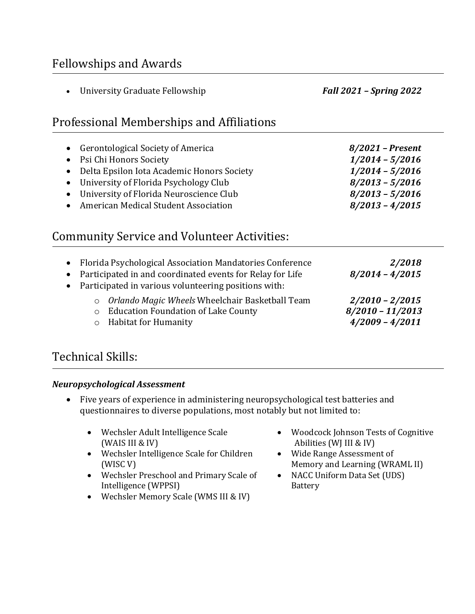## Fellowships and Awards

|                        | University Graduate Fellowship                                                                                                                                                                                                               | <b>Fall 2021 - Spring 2022</b>                                                                                              |
|------------------------|----------------------------------------------------------------------------------------------------------------------------------------------------------------------------------------------------------------------------------------------|-----------------------------------------------------------------------------------------------------------------------------|
|                        | Professional Memberships and Affiliations                                                                                                                                                                                                    |                                                                                                                             |
| $\bullet$<br>$\bullet$ | <b>Gerontological Society of America</b><br>Psi Chi Honors Society<br>Delta Epsilon Iota Academic Honors Society<br>University of Florida Psychology Club<br>University of Florida Neuroscience Club<br>American Medical Student Association | $8/2021$ – Present<br>$1/2014 - 5/2016$<br>$1/2014 - 5/2016$<br>$8/2013 - 5/2016$<br>$8/2013 - 5/2016$<br>$8/2013 - 4/2015$ |
|                        | <b>Community Service and Volunteer Activities:</b>                                                                                                                                                                                           |                                                                                                                             |
|                        | Florida Psychological Association Mandatories Conference<br>Participated in and coordinated events for Relay for Life<br>Participated in various volunteering positions with:                                                                | 2/2018<br>$8/2014 - 4/2015$                                                                                                 |
|                        | Orlando Magic Wheels Wheelchair Basketball Team<br>$\circ$<br><b>Education Foundation of Lake County</b><br>$\circ$<br><b>Habitat for Humanity</b><br>$\circ$                                                                                | $2/2010 - 2/2015$<br>$8/2010 - 11/2013$<br>$4/2009 - 4/2011$                                                                |

## Technical Skills:

### *Neuropsychological Assessment*

- Five years of experience in administering neuropsychological test batteries and questionnaires to diverse populations, most notably but not limited to:
	- Wechsler Adult Intelligence Scale (WAIS III & IV)
	- Wechsler Intelligence Scale for Children (WISC V)
	- Wechsler Preschool and Primary Scale of Intelligence (WPPSI)
	- Wechsler Memory Scale (WMS III & IV)
- Woodcock Johnson Tests of Cognitive Abilities (WJ III & IV)
- Wide Range Assessment of Memory and Learning (WRAML II)
- NACC Uniform Data Set (UDS) Battery